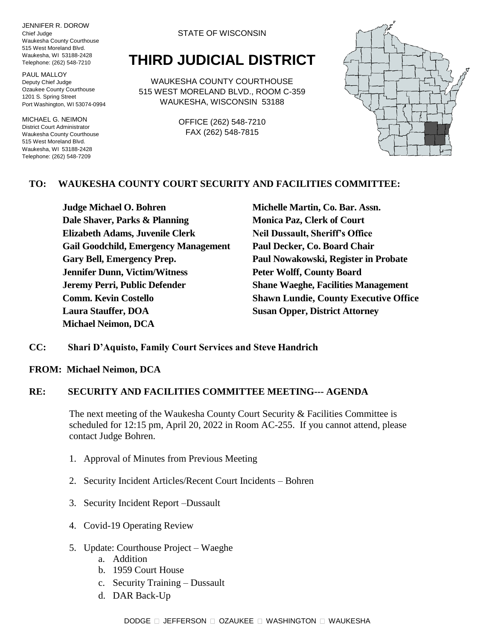JENNIFER R. DOROW Chief Judge Waukesha County Courthouse 515 West Moreland Blvd. Waukesha, WI 53188-2428 Telephone: (262) 548-7210

PAUL MALLOY Deputy Chief Judge Ozaukee County Courthouse 1201 S. Spring Street Port Washington, WI 53074-0994

MICHAEL G. NEIMON District Court Administrator Waukesha County Courthouse 515 West Moreland Blvd. Waukesha, WI 53188-2428 Telephone: (262) 548-7209

#### STATE OF WISCONSIN

# **THIRD JUDICIAL DISTRICT**

WAUKESHA COUNTY COURTHOUSE 515 WEST MORELAND BLVD., ROOM C-359 WAUKESHA, WISCONSIN 53188

> OFFICE (262) 548-7210 FAX (262) 548-7815



### **TO: WAUKESHA COUNTY COURT SECURITY AND FACILITIES COMMITTEE:**

**Judge Michael O. Bohren Michelle Martin, Co. Bar. Assn. Dale Shaver, Parks & Planning Monica Paz, Clerk of Court Elizabeth Adams, Juvenile Clerk Neil Dussault, Sheriff's Office Gail Goodchild, Emergency Management Paul Decker, Co. Board Chair Gary Bell, Emergency Prep. Paul Nowakowski, Register in Probate Jennifer Dunn, Victim/Witness Peter Wolff, County Board Jeremy Perri, Public Defender Shane Waeghe, Facilities Management Laura Stauffer, DOA Susan Opper, District Attorney Michael Neimon, DCA**

**Comm. Kevin Costello Shawn Lundie, County Executive Office**

#### **CC: Shari D'Aquisto, Family Court Services and Steve Handrich**

**FROM: Michael Neimon, DCA**

#### **RE: SECURITY AND FACILITIES COMMITTEE MEETING--- AGENDA**

The next meeting of the Waukesha County Court Security & Facilities Committee is scheduled for 12:15 pm, April 20, 2022 in Room AC-255. If you cannot attend, please contact Judge Bohren.

- 1. Approval of Minutes from Previous Meeting
- 2. Security Incident Articles/Recent Court Incidents Bohren
- 3. Security Incident Report –Dussault
- 4. Covid-19 Operating Review
- 5. Update: Courthouse Project Waeghe
	- a. Addition
	- b. 1959 Court House
	- c. Security Training Dussault
	- d. DAR Back-Up